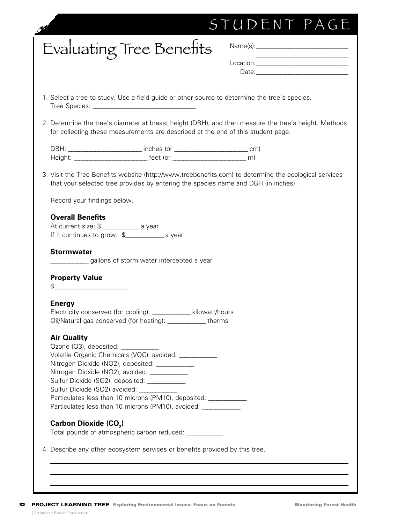| Evaluating Tree Benefits<br>1. Select a tree to study. Use a field guide or other source to determine the tree's species.<br>2. Determine the tree's diameter at breast height (DBH), and then measure the tree's height. Methods<br>for collecting these measurements are described at the end of this student page.<br>3. Visit the Tree Benefits website (http://www.treebenefits.com) to determine the ecological services<br>that your selected tree provides by entering the species name and DBH (in inches).<br>Record your findings below.<br><b>Overall Benefits</b><br>At current size: \$_________________ a year<br>If it continues to grow: \$___________________ a year<br><b>Stormwater</b><br>gallons of storm water intercepted a year<br><b>Property Value</b> | Date: Date: |
|-----------------------------------------------------------------------------------------------------------------------------------------------------------------------------------------------------------------------------------------------------------------------------------------------------------------------------------------------------------------------------------------------------------------------------------------------------------------------------------------------------------------------------------------------------------------------------------------------------------------------------------------------------------------------------------------------------------------------------------------------------------------------------------|-------------|
|                                                                                                                                                                                                                                                                                                                                                                                                                                                                                                                                                                                                                                                                                                                                                                                   |             |
|                                                                                                                                                                                                                                                                                                                                                                                                                                                                                                                                                                                                                                                                                                                                                                                   |             |
|                                                                                                                                                                                                                                                                                                                                                                                                                                                                                                                                                                                                                                                                                                                                                                                   |             |
|                                                                                                                                                                                                                                                                                                                                                                                                                                                                                                                                                                                                                                                                                                                                                                                   |             |
|                                                                                                                                                                                                                                                                                                                                                                                                                                                                                                                                                                                                                                                                                                                                                                                   |             |
|                                                                                                                                                                                                                                                                                                                                                                                                                                                                                                                                                                                                                                                                                                                                                                                   |             |
|                                                                                                                                                                                                                                                                                                                                                                                                                                                                                                                                                                                                                                                                                                                                                                                   |             |
|                                                                                                                                                                                                                                                                                                                                                                                                                                                                                                                                                                                                                                                                                                                                                                                   |             |
|                                                                                                                                                                                                                                                                                                                                                                                                                                                                                                                                                                                                                                                                                                                                                                                   |             |
| $\frac{1}{2}$                                                                                                                                                                                                                                                                                                                                                                                                                                                                                                                                                                                                                                                                                                                                                                     |             |
| <b>Energy</b>                                                                                                                                                                                                                                                                                                                                                                                                                                                                                                                                                                                                                                                                                                                                                                     |             |
| Electricity conserved (for cooling): ____________ kilowatt/hours<br>Oil/Natural gas conserved (for heating): ______________ therms                                                                                                                                                                                                                                                                                                                                                                                                                                                                                                                                                                                                                                                |             |
| <b>Air Quality</b>                                                                                                                                                                                                                                                                                                                                                                                                                                                                                                                                                                                                                                                                                                                                                                |             |
| Ozone (O3), deposited: _____________                                                                                                                                                                                                                                                                                                                                                                                                                                                                                                                                                                                                                                                                                                                                              |             |
| Volatile Organic Chemicals (VOC), avoided: _____________                                                                                                                                                                                                                                                                                                                                                                                                                                                                                                                                                                                                                                                                                                                          |             |
| Nitrogen Dioxide (NO2), deposited: ____________<br>Nitrogen Dioxide (NO2), avoided: ______________                                                                                                                                                                                                                                                                                                                                                                                                                                                                                                                                                                                                                                                                                |             |
|                                                                                                                                                                                                                                                                                                                                                                                                                                                                                                                                                                                                                                                                                                                                                                                   |             |
| Sulfur Dioxide (SO2) avoided: ____________                                                                                                                                                                                                                                                                                                                                                                                                                                                                                                                                                                                                                                                                                                                                        |             |
| Particulates less than 10 microns (PM10), deposited: _____________                                                                                                                                                                                                                                                                                                                                                                                                                                                                                                                                                                                                                                                                                                                |             |
| Particulates less than 10 microns (PM10), avoided: ______________                                                                                                                                                                                                                                                                                                                                                                                                                                                                                                                                                                                                                                                                                                                 |             |
| Carbon Dioxide (CO <sub>2</sub> )                                                                                                                                                                                                                                                                                                                                                                                                                                                                                                                                                                                                                                                                                                                                                 |             |
| Total pounds of atmospheric carbon reduced: ____________                                                                                                                                                                                                                                                                                                                                                                                                                                                                                                                                                                                                                                                                                                                          |             |

52 PROJECT LEARNING TREE Exploring Environmental Issues: Focus on Forests Monitoring Forest Health ©American Forest Foundation